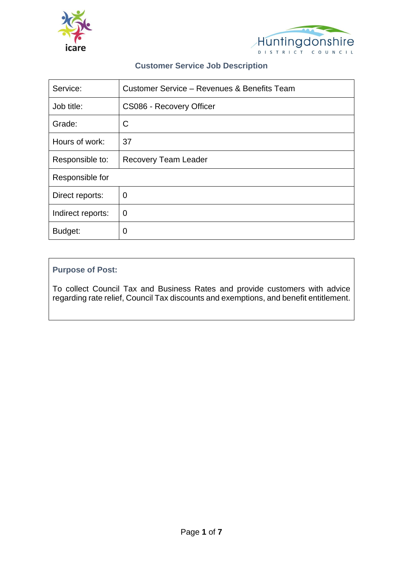



## **Customer Service Job Description**

| Service:          | Customer Service - Revenues & Benefits Team |  |
|-------------------|---------------------------------------------|--|
| Job title:        | CS086 - Recovery Officer                    |  |
| Grade:            | C                                           |  |
| Hours of work:    | 37                                          |  |
| Responsible to:   | <b>Recovery Team Leader</b>                 |  |
| Responsible for   |                                             |  |
| Direct reports:   | $\overline{0}$                              |  |
| Indirect reports: | 0                                           |  |
| Budget:           | 0                                           |  |

## **Purpose of Post:**

To collect Council Tax and Business Rates and provide customers with advice regarding rate relief, Council Tax discounts and exemptions, and benefit entitlement.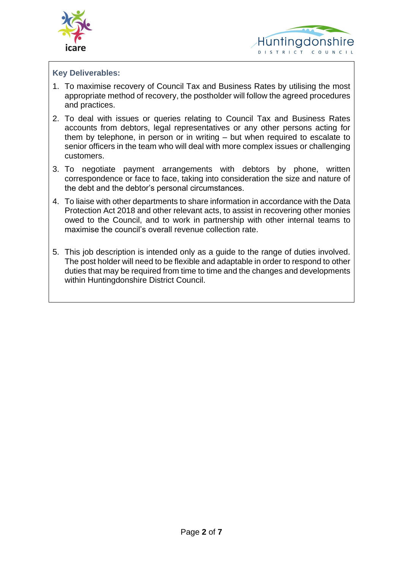



## **Key Deliverables:**

- 1. To maximise recovery of Council Tax and Business Rates by utilising the most appropriate method of recovery, the postholder will follow the agreed procedures and practices.
- 2. To deal with issues or queries relating to Council Tax and Business Rates accounts from debtors, legal representatives or any other persons acting for them by telephone, in person or in writing – but when required to escalate to senior officers in the team who will deal with more complex issues or challenging customers.
- 3. To negotiate payment arrangements with debtors by phone, written correspondence or face to face, taking into consideration the size and nature of the debt and the debtor's personal circumstances.
- 4. To liaise with other departments to share information in accordance with the Data Protection Act 2018 and other relevant acts, to assist in recovering other monies owed to the Council, and to work in partnership with other internal teams to maximise the council's overall revenue collection rate.
- 5. This job description is intended only as a guide to the range of duties involved. The post holder will need to be flexible and adaptable in order to respond to other duties that may be required from time to time and the changes and developments within Huntingdonshire District Council.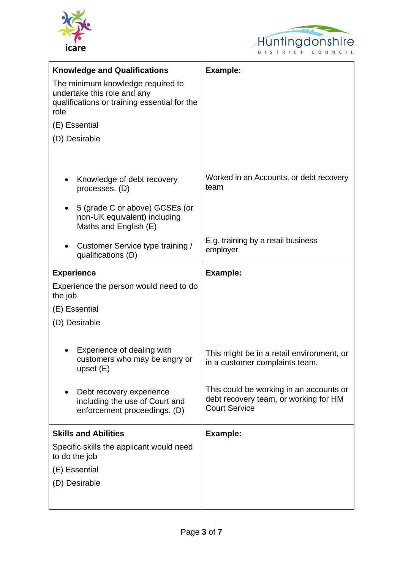



| <b>Knowledge and Qualifications</b>                                                                                      | <b>Example:</b>                                                                                          |
|--------------------------------------------------------------------------------------------------------------------------|----------------------------------------------------------------------------------------------------------|
| The minimum knowledge required to<br>undertake this role and any<br>qualifications or training essential for the<br>role |                                                                                                          |
| (E) Essential                                                                                                            |                                                                                                          |
| (D) Desirable                                                                                                            |                                                                                                          |
|                                                                                                                          |                                                                                                          |
| Knowledge of debt recovery<br>processes. (D)                                                                             | Worked in an Accounts, or debt recovery<br>team                                                          |
| 5 (grade C or above) GCSEs (or<br>non-UK equivalent) including<br>Maths and English (E)                                  |                                                                                                          |
| Customer Service type training /<br>qualifications (D)                                                                   | E.g. training by a retail business<br>employer                                                           |
| <b>Experience</b>                                                                                                        | <b>Example:</b>                                                                                          |
| Experience the person would need to do<br>the job                                                                        |                                                                                                          |
| (E) Essential                                                                                                            |                                                                                                          |
| (D) Desirable                                                                                                            |                                                                                                          |
|                                                                                                                          |                                                                                                          |
| Experience of dealing with<br>customers who may be angry or<br>upset $(E)$                                               | This might be in a retail environment, or<br>in a customer complaints team.                              |
| Debt recovery experience<br>including the use of Court and<br>enforcement proceedings. (D)                               | This could be working in an accounts or<br>debt recovery team, or working for HM<br><b>Court Service</b> |
| <b>Skills and Abilities</b>                                                                                              | <b>Example:</b>                                                                                          |
| Specific skills the applicant would need<br>to do the job                                                                |                                                                                                          |
| (E) Essential                                                                                                            |                                                                                                          |
| (D) Desirable                                                                                                            |                                                                                                          |
|                                                                                                                          |                                                                                                          |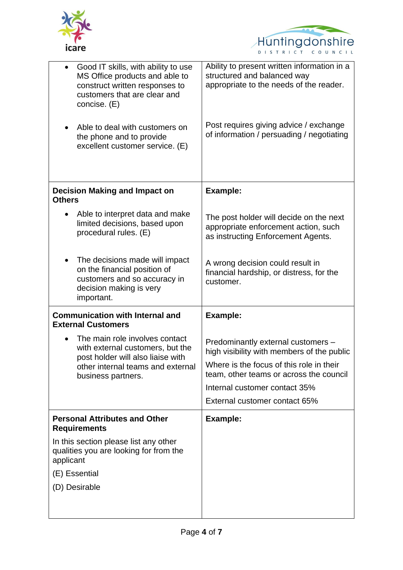



| Good IT skills, with ability to use<br>$\bullet$<br>MS Office products and able to<br>construct written responses to<br>customers that are clear and<br>concise. (E)<br>Able to deal with customers on<br>the phone and to provide<br>excellent customer service. (E) | Ability to present written information in a<br>structured and balanced way<br>appropriate to the needs of the reader.<br>Post requires giving advice / exchange<br>of information / persuading / negotiating                              |
|-----------------------------------------------------------------------------------------------------------------------------------------------------------------------------------------------------------------------------------------------------------------------|-------------------------------------------------------------------------------------------------------------------------------------------------------------------------------------------------------------------------------------------|
| <b>Decision Making and Impact on</b><br><b>Others</b>                                                                                                                                                                                                                 | <b>Example:</b>                                                                                                                                                                                                                           |
| Able to interpret data and make<br>limited decisions, based upon<br>procedural rules. (E)                                                                                                                                                                             | The post holder will decide on the next<br>appropriate enforcement action, such<br>as instructing Enforcement Agents.                                                                                                                     |
| The decisions made will impact<br>on the financial position of<br>customers and so accuracy in<br>decision making is very<br>important.                                                                                                                               | A wrong decision could result in<br>financial hardship, or distress, for the<br>customer.                                                                                                                                                 |
| <b>Communication with Internal and</b><br><b>External Customers</b>                                                                                                                                                                                                   | <b>Example:</b>                                                                                                                                                                                                                           |
| The main role involves contact<br>with external customers, but the<br>post holder will also liaise with<br>other internal teams and external<br>business partners.                                                                                                    | Predominantly external customers -<br>high visibility with members of the public<br>Where is the focus of this role in their<br>team, other teams or across the council<br>Internal customer contact 35%<br>External customer contact 65% |
| <b>Personal Attributes and Other</b><br><b>Requirements</b>                                                                                                                                                                                                           | <b>Example:</b>                                                                                                                                                                                                                           |
| In this section please list any other<br>qualities you are looking for from the<br>applicant<br>(E) Essential                                                                                                                                                         |                                                                                                                                                                                                                                           |
| (D) Desirable                                                                                                                                                                                                                                                         |                                                                                                                                                                                                                                           |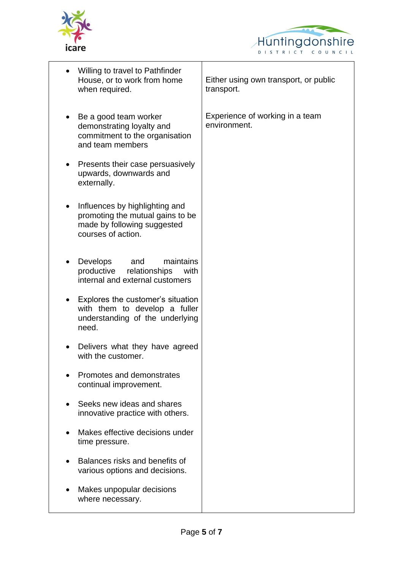



| Willing to travel to Pathfinder<br>House, or to work from home<br>when required.                                        | Either using own transport, or public<br>transport. |
|-------------------------------------------------------------------------------------------------------------------------|-----------------------------------------------------|
| Be a good team worker<br>demonstrating loyalty and<br>commitment to the organisation<br>and team members                | Experience of working in a team<br>environment.     |
| Presents their case persuasively<br>upwards, downwards and<br>externally.                                               |                                                     |
| Influences by highlighting and<br>promoting the mutual gains to be<br>made by following suggested<br>courses of action. |                                                     |
| <b>Develops</b><br>and<br>maintains<br>productive<br>relationships<br>with<br>internal and external customers           |                                                     |
| Explores the customer's situation<br>with them to develop a fuller<br>understanding of the underlying<br>need.          |                                                     |
| Delivers what they have agreed<br>with the customer.                                                                    |                                                     |
| Promotes and demonstrates<br>continual improvement.                                                                     |                                                     |
| Seeks new ideas and shares<br>innovative practice with others.                                                          |                                                     |
| Makes effective decisions under<br>time pressure.                                                                       |                                                     |
| Balances risks and benefits of<br>various options and decisions.                                                        |                                                     |
| Makes unpopular decisions<br>where necessary.                                                                           |                                                     |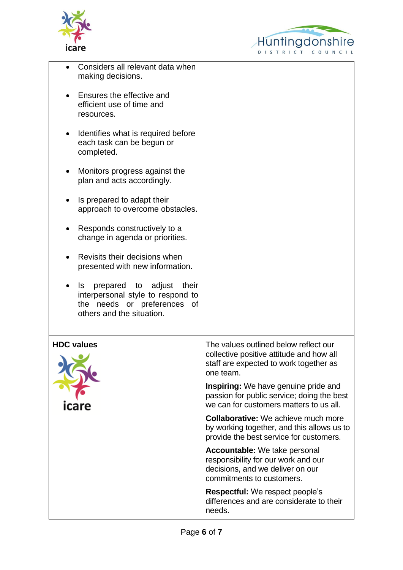



| Considers all relevant data when<br>making decisions.                                                                                        |                                                                                                                                              |
|----------------------------------------------------------------------------------------------------------------------------------------------|----------------------------------------------------------------------------------------------------------------------------------------------|
| Ensures the effective and<br>efficient use of time and<br>resources.                                                                         |                                                                                                                                              |
| Identifies what is required before<br>٠<br>each task can be begun or<br>completed.                                                           |                                                                                                                                              |
| Monitors progress against the<br>plan and acts accordingly.                                                                                  |                                                                                                                                              |
| Is prepared to adapt their<br>approach to overcome obstacles.                                                                                |                                                                                                                                              |
| Responds constructively to a<br>change in agenda or priorities.                                                                              |                                                                                                                                              |
| Revisits their decisions when<br>presented with new information.                                                                             |                                                                                                                                              |
| prepared to adjust<br>their<br><b>IS</b><br>interpersonal style to respond to<br>the needs or preferences<br>0f<br>others and the situation. |                                                                                                                                              |
| <b>HDC values</b>                                                                                                                            | The values outlined below reflect our<br>collective positive attitude and how all<br>staff are expected to work together as<br>one team.     |
| icare                                                                                                                                        | <b>Inspiring:</b> We have genuine pride and<br>passion for public service; doing the best<br>we can for customers matters to us all.         |
|                                                                                                                                              | <b>Collaborative:</b> We achieve much more<br>by working together, and this allows us to<br>provide the best service for customers.          |
|                                                                                                                                              | <b>Accountable:</b> We take personal<br>responsibility for our work and our<br>decisions, and we deliver on our<br>commitments to customers. |
|                                                                                                                                              | <b>Respectful:</b> We respect people's<br>differences and are considerate to their<br>needs.                                                 |